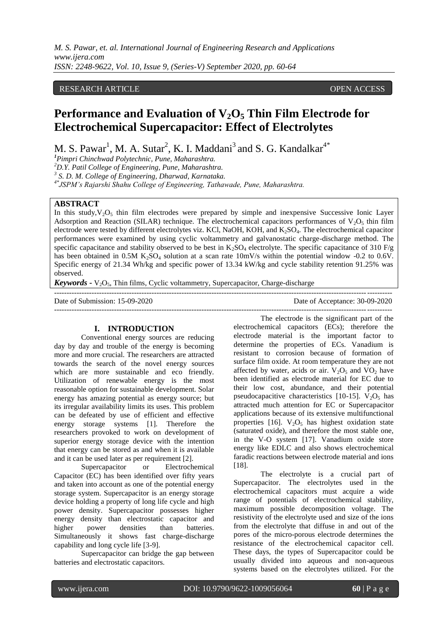*M. S. Pawar, et. al. International Journal of Engineering Research and Applications www.ijera.com ISSN: 2248-9622, Vol. 10, Issue 9, (Series-V) September 2020, pp. 60-64*

# RESEARCH ARTICLE **ARTICLE** AND **CONSTRUCTER** OPEN ACCESS OPEN ACCESS OPEN ACCESS OPEN ACCESS OPEN ACCESS OF A STREET AND A STREET AND A STREET AND A STREET AND A STREET AND A STREET AND A STREET AND A STREET AND A STREET A

# **Performance and Evaluation of**  $V_2O_5$  **Thin Film Electrode for Electrochemical Supercapacitor: Effect of Electrolytes**

M. S. Pawar<sup>1</sup>, M. A. Sutar<sup>2</sup>, K. I. Maddani<sup>3</sup> and S. G. Kandalkar<sup>4\*</sup>

*<sup>1</sup>Pimpri Chinchwad Polytechnic, Pune, Maharashtra.*

*<sup>2</sup>D.Y. Patil College of Engineering, Pune, Maharashtra.*

*3 S. D. M. College of Engineering, Dharwad, Karnataka.*

*4\*JSPM's Rajarshi Shahu College of Engineering, Tathawade, Pune, Maharashtra.*

# **ABSTRACT**

In this study,  $V_2O_5$  thin film electrodes were prepared by simple and inexpensive Successive Ionic Layer Adsorption and Reaction (SILAR) technique. The electrochemical capacitors performances of  $V_2O_5$  thin film electrode were tested by different electrolytes viz. KCl, NaOH, KOH, and K2SO4. The electrochemical capacitor performances were examined by using cyclic voltammetry and galvanostatic charge-discharge method. The specific capacitance and stability observed to be best in  $K_2SO_4$  electrolyte. The specific capacitance of 310 F/g has been obtained in 0.5M  $K_2SO_4$  solution at a scan rate 10mV/s within the potential window -0.2 to 0.6V. Specific energy of 21.34 Wh/kg and specific power of 13.34 kW/kg and cycle stability retention 91.25% was observed.

---------------------------------------------------------------------------------------------------------------------------------------

*Keywords* **-**  $V_2O_5$ , Thin films, Cyclic voltammetry, Supercapacitor, Charge-discharge

Date of Submission: 15-09-2020 Date of Acceptance: 30-09-2020

#### **I. INTRODUCTION**

Conventional energy sources are reducing day by day and trouble of the energy is becoming more and more crucial. The researchers are attracted towards the search of the novel energy sources which are more sustainable and eco friendly. Utilization of renewable energy is the most reasonable option for sustainable development. Solar energy has amazing potential as energy source; but its irregular availability limits its uses. This problem can be defeated by use of efficient and effective energy storage systems [1]. Therefore the researchers provoked to work on development of superior energy storage device with the intention that energy can be stored as and when it is available and it can be used later as per requirement [2].

Supercapacitor or Electrochemical Capacitor (EC) has been identified over fifty years and taken into account as one of the potential energy storage system. Supercapacitor is an energy storage device holding a property of long life cycle and high power density. Supercapacitor possesses higher energy density than electrostatic capacitor and higher power densities than batteries. Simultaneously it shows fast charge-discharge capability and long cycle life [3-9].

Supercapacitor can bridge the gap between batteries and electrostatic capacitors.

--------------------------------------------------------------------------------------------------------------------------------------- The electrode is the significant part of the

electrochemical capacitors (ECs); therefore the electrode material is the important factor to determine the properties of ECs. Vanadium is resistant to corrosion because of formation of surface film oxide. At room temperature they are not affected by water, acids or air.  $V_2O_5$  and  $VO_2$  have been identified as electrode material for EC due to their low cost, abundance, and their potential pseudocapacitive characteristics [10-15].  $V_2O_5$  has attracted much attention for EC or Supercapacitor applications because of its extensive multifunctional properties [16].  $V_2O_5$  has highest oxidation state (saturated oxide), and therefore the most stable one, in the V-O system [17]. Vanadium oxide store energy like EDLC and also shows electrochemical faradic reactions between electrode material and ions [18].

The electrolyte is a crucial part of Supercapacitor. The electrolytes used in the electrochemical capacitors must acquire a wide range of potentials of electrochemical stability, maximum possible decomposition voltage. The resistivity of the electrolyte used and size of the ions from the electrolyte that diffuse in and out of the pores of the micro-porous electrode determines the resistance of the electrochemical capacitor cell. These days, the types of Supercapacitor could be usually divided into aqueous and non-aqueous systems based on the electrolytes utilized. For the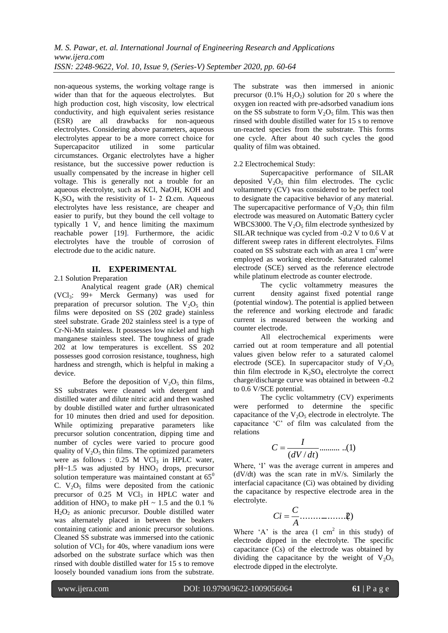non-aqueous systems, the working voltage range is wider than that for the aqueous electrolytes. But high production cost, high viscosity, low electrical conductivity, and high equivalent series resistance (ESR) are all drawbacks for non-aqueous electrolytes. Considering above parameters, aqueous electrolytes appear to be a more correct choice for Supercapacitor utilized in some particular circumstances. Organic electrolytes have a higher resistance, but the successive power reduction is usually compensated by the increase in higher cell voltage. This is generally not a trouble for an aqueous electrolyte, such as KCl, NaOH, KOH and K<sub>2</sub>SO<sub>4</sub> with the resistivity of 1- 2  $\Omega$ .cm. Aqueous electrolytes have less resistance, are cheaper and easier to purify, but they bound the cell voltage to typically 1 V, and hence limiting the maximum reachable power [19]. Furthermore, the acidic electrolytes have the trouble of corrosion of electrode due to the acidic nature.

# **II. EXPERIMENTAL**

2.1 Solution Preparation

Analytical reagent grade (AR) chemical  $(VCl<sub>3</sub>: 99+$  Merck Germany) was used for preparation of precursor solution. The  $V_2O_5$  thin films were deposited on SS (202 grade) stainless steel substrate. Grade 202 stainless steel is a type of Cr-Ni-Mn stainless. It possesses low nickel and high manganese stainless steel. The toughness of grade 202 at low temperatures is excellent. SS 202 possesses good corrosion resistance, toughness, high hardness and strength, which is helpful in making a device.

Before the deposition of  $V_2O_5$  thin films, SS substrates were cleaned with detergent and distilled water and dilute nitric acid and then washed by double distilled water and further ultrasonicated for 10 minutes then dried and used for deposition. While optimizing preparative parameters like precursor solution concentration, dipping time and number of cycles were varied to procure good quality of  $V_2O_5$  thin films. The optimized parameters were as follows :  $0.25$  M VCl<sub>3</sub> in HPLC water,  $pH~1.5$  was adjusted by  $HNO<sub>3</sub>$  drops, precursor solution temperature was maintained constant at  $65^\circ$ C.  $V_2O_5$  films were deposited from the cationic precursor of  $0.25$  M VCl<sub>3</sub> in HPLC water and addition of  $HNO<sub>3</sub>$  to make pH ~ 1.5 and the 0.1 %  $H<sub>2</sub>O<sub>2</sub>$  as anionic precursor. Double distilled water was alternately placed in between the beakers containing cationic and anionic precursor solutions. Cleaned SS substrate was immersed into the cationic solution of  $VCl<sub>3</sub>$  for 40s, where vanadium ions were adsorbed on the substrate surface which was then rinsed with double distilled water for 15 s to remove loosely bounded vanadium ions from the substrate.

The substrate was then immersed in anionic precursor  $(0.1\% \text{ H}_2\text{O}_2)$  solution for 20 s where the oxygen ion reacted with pre-adsorbed vanadium ions on the SS substrate to form  $V_2O_5$  film. This was then rinsed with double distilled water for 15 s to remove un-reacted species from the substrate. This forms one cycle. After about 40 such cycles the good quality of film was obtained.

# 2.2 Electrochemical Study:

Supercapacitive performance of SILAR deposited  $V_2O_5$  thin film electrodes. The cyclic voltammetry (CV) was considered to be perfect tool to designate the capacitive behavior of any material. The supercapacitive performance of  $V_2O_5$  thin film electrode was measured on Automatic Battery cycler WBCS3000. The  $V_2O_5$  film electrode synthesized by SILAR technique was cycled from -0.2 V to 0.6 V at different sweep rates in different electrolytes. Films coated on SS substrate each with an area  $1 \text{ cm}^2$  were employed as working electrode. Saturated calomel electrode (SCE) served as the reference electrode while platinum electrode as counter electrode.

The cyclic voltammetry measures the current density against fixed potential range (potential window). The potential is applied between the reference and working electrode and faradic current is measured between the working and counter electrode.

All electrochemical experiments were carried out at room temperature and all potential values given below refer to a saturated calomel electrode (SCE). In supercapacitor study of  $V_2O_5$ thin film electrode in  $K_2SO_4$  electrolyte the correct charge/discharge curve was obtained in between -0.2 to 0.6 V/SCE potential.

The cyclic voltammetry (CV) experiments were performed to determine the specific capacitance of the  $V_2O_5$  electrode in electrolyte. The capacitance "C" of film was calculated from the relations

$$
C = \frac{I}{(dV/dt)}
$$
...........(1)

Where, 'I' was the average current in amperes and (dV/dt) was the scan rate in mV/s. Similarly the interfacial capacitance (Ci) was obtained by dividing the capacitance by respective electrode area in the electrolyte.

...................(2) *A C Ci*

Where 'A' is the area  $(1 \text{ cm}^2 \text{ in this study})$  of electrode dipped in the electrolyte. The specific capacitance (Cs) of the electrode was obtained by dividing the capacitance by the weight of  $V_2O_5$ electrode dipped in the electrolyte.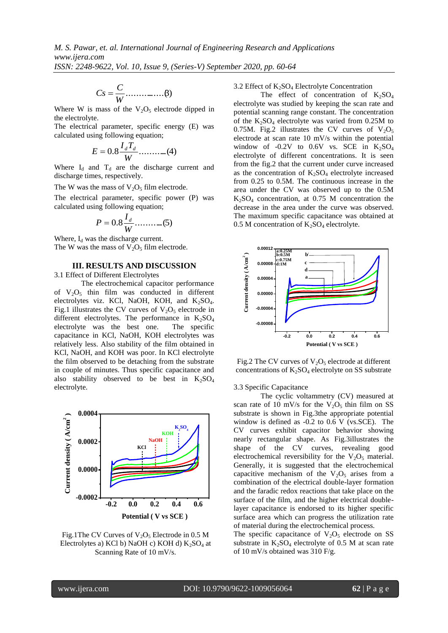................(3) *W C Cs*

Where W is mass of the  $V_2O_5$  electrode dipped in the electrolyte.

The electrical parameter, specific energy (E) was calculated using following equation;

$$
E = 0.8 \frac{I_d T_d}{W} \dots \dots \dots \dots (4)
$$

Where  $I_d$  and  $T_d$  are the discharge current and discharge times, respectively.

The W was the mass of  $V_2O_5$  film electrode.

The electrical parameter, specific power (P) was calculated using following equation;

$$
P=0.8\frac{I_d}{W} \dots \dots \dots \dots (5)
$$

Where,  $I_d$  was the discharge current.

The W was the mass of  $V_2O_5$  film electrode.

### **III. RESULTS AND DISCUSSION**

3.1 Effect of Different Electrolytes

The electrochemical capacitor performance of  $V_2O_5$  thin film was conducted in different electrolytes viz. KCl, NaOH, KOH, and  $K_2SO_4$ . Fig.1 illustrates the CV curves of  $V_2O_5$  electrode in different electrolytes. The performance in  $K_2SO_4$ <br>electrolyte was the best one. The specific electrolyte was the best one. capacitance in KCl, NaOH, KOH electrolytes was relatively less. Also stability of the film obtained in KCl, NaOH, and KOH was poor. In KCl electrolyte the film observed to be detaching from the substrate in couple of minutes. Thus specific capacitance and also stability observed to be best in  $K_2SO_4$ electrolyte.



Fig.1The CV Curves of  $V_2O_5$  Electrode in 0.5 M Electrolytes a) KCl b) NaOH c) KOH d)  $K_2SO_4$  at Scanning Rate of 10 mV/s.

3.2 Effect of  $K_2SO_4$  Electrolyte Concentration

The effect of concentration of  $K_2SO_4$ electrolyte was studied by keeping the scan rate and potential scanning range constant. The concentration of the  $K_2SO_4$  electrolyte was varied from 0.25M to 0.75M. Fig.2 illustrates the CV curves of  $V_2O_5$ electrode at scan rate 10 mV/s within the potential window of -0.2V to 0.6V vs. SCE in  $K_2SO_4$ electrolyte of different concentrations. It is seen from the fig.2 that the current under curve increased as the concentration of  $K_2SO_4$  electrolyte increased from 0.25 to 0.5M. The continuous increase in the area under the CV was observed up to the 0.5M  $K<sub>2</sub>SO<sub>4</sub>$  concentration, at 0.75 M concentration the decrease in the area under the curve was observed. The maximum specific capacitance was obtained at 0.5 M concentration of  $K_2SO_4$  electrolyte.



Fig.2 The CV curves of  $V_2O_5$  electrode at different concentrations of  $K_2SO_4$  electrolyte on SS substrate

3.3 Specific Capacitance

The cyclic voltammetry (CV) measured at scan rate of 10 mV/s for the  $V_2O_5$  thin film on SS substrate is shown in Fig.3the appropriate potential window is defined as -0.2 to 0.6 V (vs.SCE). The CV curves exhibit capacitor behavior showing nearly rectangular shape. As Fig.3illustrates the shape of the CV curves, revealing good electrochemical reversibility for the  $V_2O_5$  material. Generally, it is suggested that the electrochemical capacitive mechanism of the  $V_2O_5$  arises from a combination of the electrical double-layer formation and the faradic redox reactions that take place on the surface of the film, and the higher electrical doublelayer capacitance is endorsed to its higher specific surface area which can progress the utilization rate of material during the electrochemical process.

The specific capacitance of  $V_2O_5$  electrode on SS substrate in  $K_2SO_4$  electrolyte of 0.5 M at scan rate of 10 mV/s obtained was 310 F/g.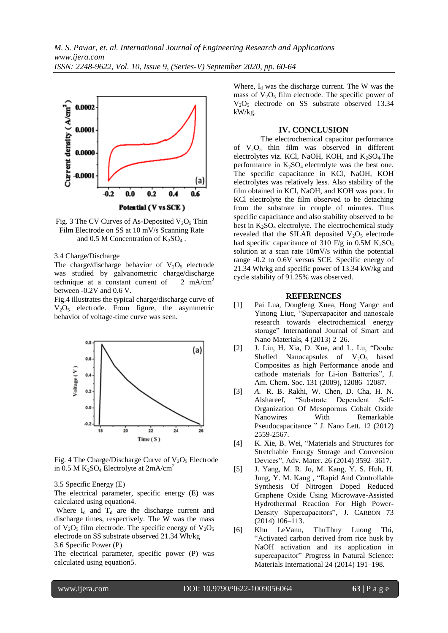

Fig. 3 The CV Curves of As-Deposited  $V_2O_5$  Thin Film Electrode on SS at 10 mV/s Scanning Rate and 0.5 M Concentration of  $K_2SO_4$ .

3.4 Charge/Discharge

The charge/discharge behavior of  $V_2O_5$  electrode was studied by galvanometric charge/discharge technique at a constant current of  $2 \text{ mA/cm}^2$ between -0.2V and 0.6 V.

Fig.4 illustrates the typical charge/discharge curve of V2O<sup>5</sup> electrode. From figure, the asymmetric behavior of voltage-time curve was seen.



Fig. 4 The Charge/Discharge Curve of  $V_2O_5$  Electrode in 0.5 M  $K_2SO_4$  Electrolyte at  $2mA/cm^2$ 

3.5 Specific Energy (E)

The electrical parameter, specific energy (E) was calculated using equation4.

Where  $I_d$  and  $T_d$  are the discharge current and discharge times, respectively. The W was the mass of  $V_2O_5$  film electrode. The specific energy of  $V_2O_5$ electrode on SS substrate observed 21.34 Wh/kg 3.6 Specific Power (P)

The electrical parameter, specific power (P) was calculated using equation5.

Where,  $I_d$  was the discharge current. The W was the mass of  $V_2O_5$  film electrode. The specific power of  $V_2O_5$  electrode on SS substrate observed 13.34 kW/kg.

### **IV. CONCLUSION**

The electrochemical capacitor performance of  $V_2O_5$  thin film was observed in different electrolytes viz. KCl, NaOH, KOH, and  $K_2SO_4$ . The performance in  $K_2SO_4$  electrolyte was the best one. The specific capacitance in KCl, NaOH, KOH electrolytes was relatively less. Also stability of the film obtained in KCl, NaOH, and KOH was poor. In KCl electrolyte the film observed to be detaching from the substrate in couple of minutes. Thus specific capacitance and also stability observed to be best in  $K_2SO_4$  electrolyte. The electrochemical study revealed that the SILAR deposited  $V_2O_5$  electrode had specific capacitance of 310 F/g in  $0.5M$  K<sub>2</sub>SO<sub>4</sub> solution at a scan rate 10mV/s within the potential range -0.2 to 0.6V versus SCE. Specific energy of 21.34 Wh/kg and specific power of 13.34 kW/kg and cycle stability of 91.25% was observed.

#### **REFERENCES**

- [1] Pai Lua, Dongfeng Xuea, Hong Yangc and Yinong Liuc, "Supercapacitor and nanoscale research towards electrochemical energy storage" International Journal of Smart and Nano Materials, 4 (2013) 2–26.
- [2] J. Liu, H. Xia, D. Xue, and L. Lu, "Doube Shelled Nanocapsules of  $V_2O_5$  based Composites as high Performance anode and cathode materials for Li-ion Batteries", J. Am. Chem. Soc. 131 (2009), 12086–12087.
- [3] *A.* R. B. Rakhi, W. Chen, D. Cha, H. N. Alshareef, "Substrate Dependent Self-Organization Of Mesoporous Cobalt Oxide Nanowires With Remarkable Pseudocapacitance " J. Nano Lett. 12 (2012) 2559-2567.
- [4] K. Xie, B. Wei, "Materials and Structures for Stretchable Energy Storage and Conversion Devices", Adv. Mater. 26 (2014) 3592–3617.
- [5] J. Yang, M. R. Jo, M. Kang, Y. S. Huh, H. Jung, Y. M. Kang , "Rapid And Controllable Synthesis Of Nitrogen Doped Reduced Graphene Oxide Using Microwave-Assisted Hydrothermal Reaction For High Power-Density Supercapacitors", J. CARBON 73 (2014) 106–113.
- [6] Khu LeVann, ThuThuy Luong Thi, "Activated carbon derived from rice husk by NaOH activation and its application in supercapacitor" Progress in Natural Science: Materials International 24 (2014) 191–198.